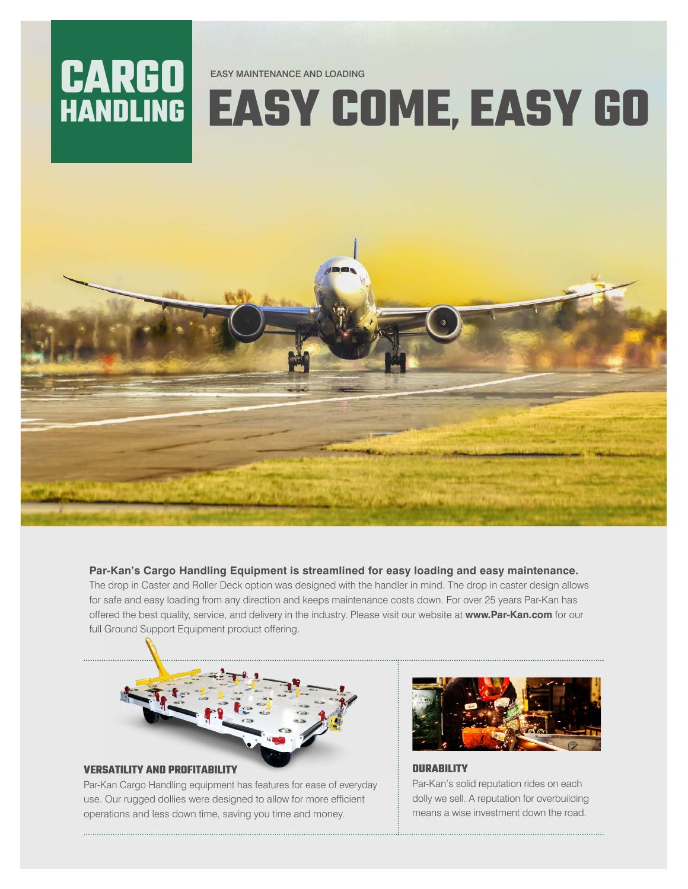

## **EASY COME, EASY GO**



## **Par-Kan's Cargo Handling Equipment is streamlined for easy loading and easy maintenance.**

The drop in Caster and Roller Deck option was designed with the handler in mind. The drop in caster design allows for safe and easy loading from any direction and keeps maintenance costs down. For over 25 years Par-Kan has offered the best quality, service, and delivery in the industry. Please visit our website at **www.Par-Kan.com** for our full Ground Support Equipment product offering.



## **VERSATILITY AND PROFITABILITY**

Par-Kan Cargo Handling equipment has features for ease of everyday use. Our rugged dollies were designed to allow for more efficient operations and less down time, saving you time and money.



**DURABILITY** Par-Kan's solid reputation rides on each dolly we sell. A reputation for overbuilding means a wise investment down the road.